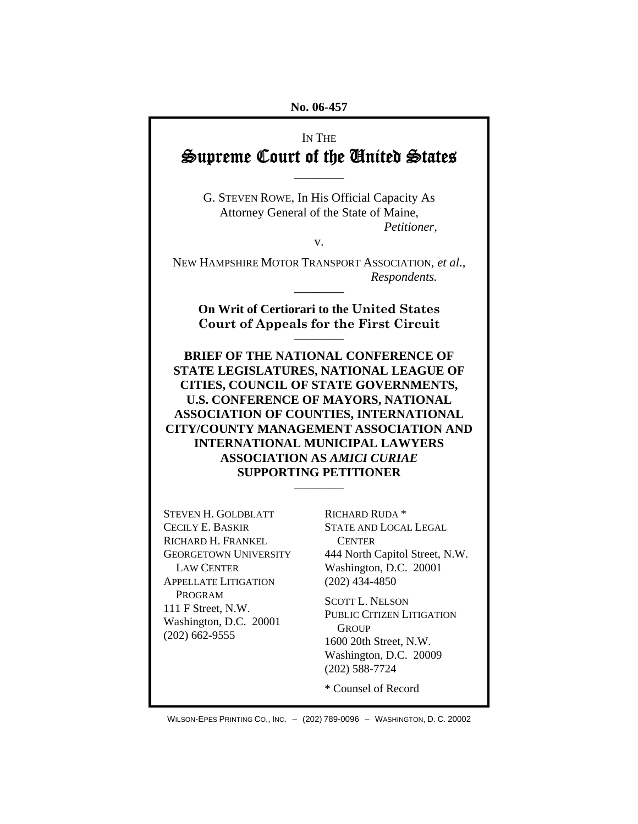#### **No. 06-457**

# IN THE Supreme Court of the United States

G. STEVEN ROWE, In His Official Capacity As Attorney General of the State of Maine, *Petitioner*,

————

v.

NEW HAMPSHIRE MOTOR TRANSPORT ASSOCIATION, *et al*.,  *Respondents.*

**On Writ of Certiorari to the United States Court of Appeals for the First Circuit** 

————

————

**BRIEF OF THE NATIONAL CONFERENCE OF STATE LEGISLATURES, NATIONAL LEAGUE OF CITIES, COUNCIL OF STATE GOVERNMENTS, U.S. CONFERENCE OF MAYORS, NATIONAL ASSOCIATION OF COUNTIES, INTERNATIONAL CITY/COUNTY MANAGEMENT ASSOCIATION AND INTERNATIONAL MUNICIPAL LAWYERS ASSOCIATION AS** *AMICI CURIAE* **SUPPORTING PETITIONER** 

————

STEVEN H. GOLDBLATT CECILY E. BASKIR RICHARD H. FRANKEL GEORGETOWN UNIVERSITY LAW CENTER APPELLATE LITIGATION PROGRAM 111 F Street, N.W. Washington, D.C. 20001 (202) 662-9555

RICHARD RUDA \* STATE AND LOCAL LEGAL **CENTER** 444 North Capitol Street, N.W. Washington, D.C. 20001 (202) 434-4850

SCOTT L. NELSON PUBLIC CITIZEN LITIGATION **GROUP** 1600 20th Street, N.W. Washington, D.C. 20009 (202) 588-7724

\* Counsel of Record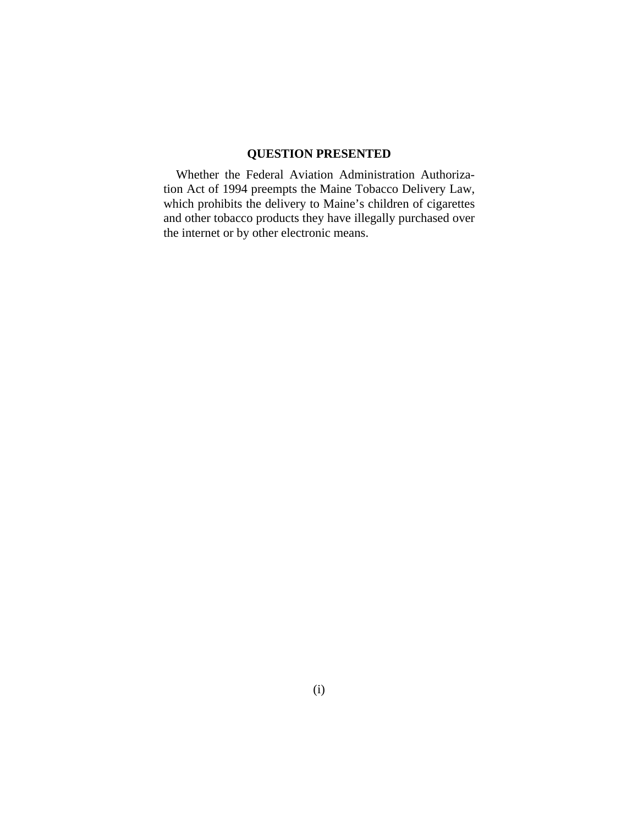## **QUESTION PRESENTED**

Whether the Federal Aviation Administration Authorization Act of 1994 preempts the Maine Tobacco Delivery Law, which prohibits the delivery to Maine's children of cigarettes and other tobacco products they have illegally purchased over the internet or by other electronic means.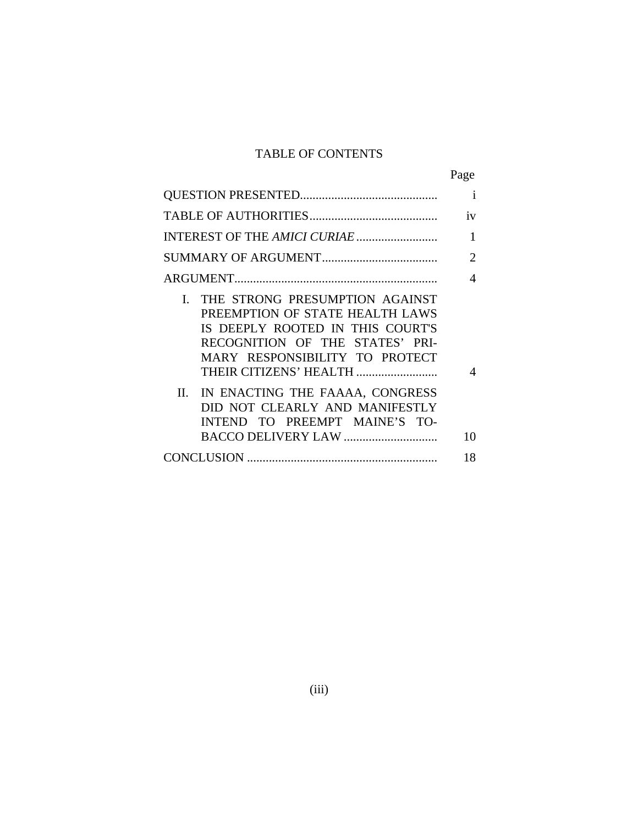## TABLE OF CONTENTS

|                                                                                                                                                                                                         | Page           |
|---------------------------------------------------------------------------------------------------------------------------------------------------------------------------------------------------------|----------------|
|                                                                                                                                                                                                         | $\mathbf{i}$   |
|                                                                                                                                                                                                         | iv             |
| INTEREST OF THE AMICI CURIAE                                                                                                                                                                            | 1              |
|                                                                                                                                                                                                         | $\overline{2}$ |
|                                                                                                                                                                                                         | 4              |
| I. THE STRONG PRESUMPTION AGAINST<br>PREEMPTION OF STATE HEALTH LAWS<br>IS DEEPLY ROOTED IN THIS COURT'S<br>RECOGNITION OF THE STATES' PRI-<br>MARY RESPONSIBILITY TO PROTECT<br>THEIR CITIZENS' HEALTH | $\overline{4}$ |
| II. IN ENACTING THE FAAAA, CONGRESS<br>DID NOT CLEARLY AND MANIFESTLY<br>INTEND TO PREEMPT MAINE'S TO-                                                                                                  | 10             |
|                                                                                                                                                                                                         | 18             |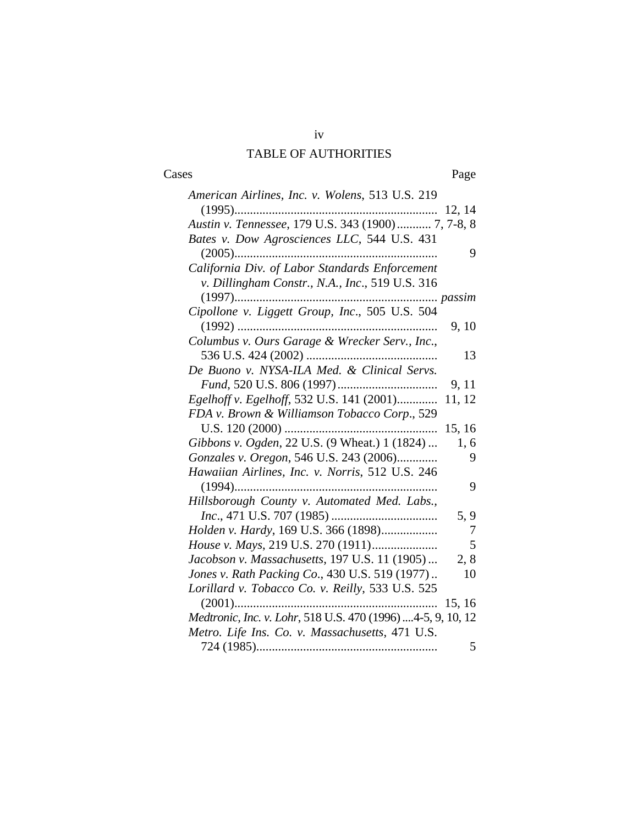# iv TABLE OF AUTHORITIES

#### Cases Page

| American Airlines, Inc. v. Wolens, 513 U.S. 219              |        |
|--------------------------------------------------------------|--------|
|                                                              | 12, 14 |
| Austin v. Tennessee, 179 U.S. 343 (1900) 7, 7-8, 8           |        |
| Bates v. Dow Agrosciences LLC, 544 U.S. 431                  |        |
|                                                              | 9      |
| California Div. of Labor Standards Enforcement               |        |
| v. Dillingham Constr., N.A., Inc., 519 U.S. 316              |        |
|                                                              |        |
| Cipollone v. Liggett Group, Inc., 505 U.S. 504               |        |
|                                                              | 9, 10  |
| Columbus v. Ours Garage & Wrecker Serv., Inc.,               |        |
|                                                              | 13     |
| De Buono v. NYSA-ILA Med. & Clinical Servs.                  |        |
|                                                              | 9, 11  |
| Egelhoff v. Egelhoff, 532 U.S. 141 (2001)                    | 11, 12 |
| FDA v. Brown & Williamson Tobacco Corp., 529                 |        |
|                                                              | 15, 16 |
| Gibbons v. Ogden, 22 U.S. (9 Wheat.) 1 (1824)                | 1,6    |
| Gonzales v. Oregon, 546 U.S. 243 (2006)                      | 9      |
| Hawaiian Airlines, Inc. v. Norris, 512 U.S. 246              |        |
|                                                              | 9      |
| Hillsborough County v. Automated Med. Labs.,                 |        |
|                                                              | 5, 9   |
| Holden v. Hardy, 169 U.S. 366 (1898)                         | 7      |
|                                                              | 5      |
| Jacobson v. Massachusetts, 197 U.S. 11 (1905)                | 2, 8   |
| Jones v. Rath Packing Co., 430 U.S. 519 (1977)               | 10     |
| Lorillard v. Tobacco Co. v. Reilly, 533 U.S. 525             |        |
| $(2001)$                                                     | 15, 16 |
| Medtronic, Inc. v. Lohr, 518 U.S. 470 (1996)  4-5, 9, 10, 12 |        |
| Metro. Life Ins. Co. v. Massachusetts, 471 U.S.              |        |
|                                                              | 5      |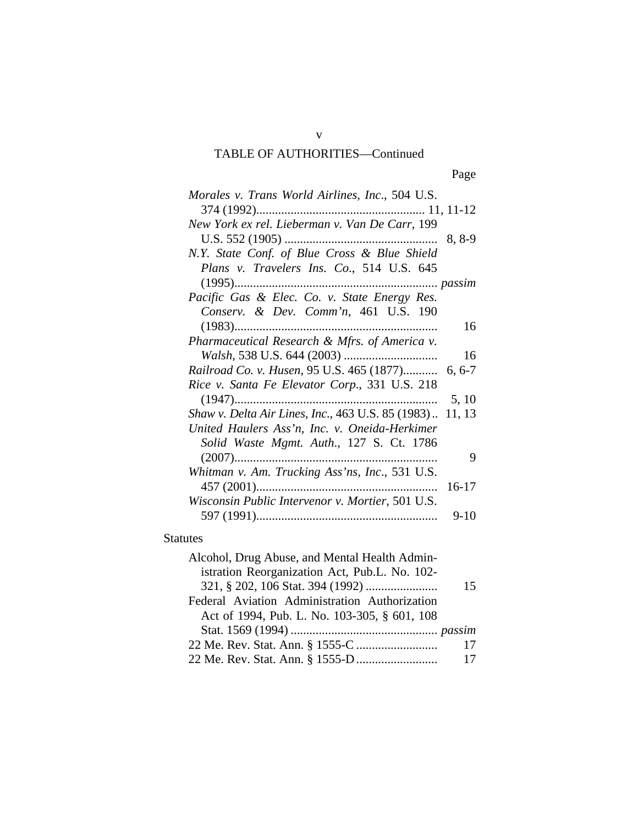## TABLE OF AUTHORITIES—Continued

Page **Page** 

| Morales v. Trans World Airlines, Inc., 504 U.S.          |        |
|----------------------------------------------------------|--------|
|                                                          |        |
| New York ex rel. Lieberman v. Van De Carr, 199           |        |
|                                                          |        |
| N.Y. State Conf. of Blue Cross & Blue Shield             |        |
| Plans v. Travelers Ins. Co., 514 U.S. 645                |        |
| $(1995)$                                                 |        |
| Pacific Gas & Elec. Co. v. State Energy Res.             |        |
| Conserv. & Dev. Comm'n, 461 U.S. 190                     |        |
| $(1983)$                                                 | 16     |
| Pharmaceutical Research & Mfrs. of America v.            |        |
|                                                          | 16     |
| Railroad Co. v. Husen, 95 U.S. 465 (1877) 6, 6-7         |        |
| Rice v. Santa Fe Elevator Corp., 331 U.S. 218            |        |
| $(1947)$                                                 | 5, 10  |
| Shaw v. Delta Air Lines, Inc., 463 U.S. 85 (1983) 11, 13 |        |
| United Haulers Ass'n, Inc. v. Oneida-Herkimer            |        |
| Solid Waste Mgmt. Auth., 127 S. Ct. 1786                 |        |
|                                                          | 9      |
| Whitman v. Am. Trucking Ass'ns, Inc., 531 U.S.           |        |
|                                                          | 16-17  |
| Wisconsin Public Intervenor v. Mortier, 501 U.S.         |        |
|                                                          | $9-10$ |

## Statutes

| Alcohol, Drug Abuse, and Mental Health Admin- |     |
|-----------------------------------------------|-----|
| istration Reorganization Act, Pub.L. No. 102- |     |
|                                               | 15  |
| Federal Aviation Administration Authorization |     |
| Act of 1994, Pub. L. No. 103-305, § 601, 108  |     |
|                                               |     |
|                                               | 17  |
|                                               | -17 |

v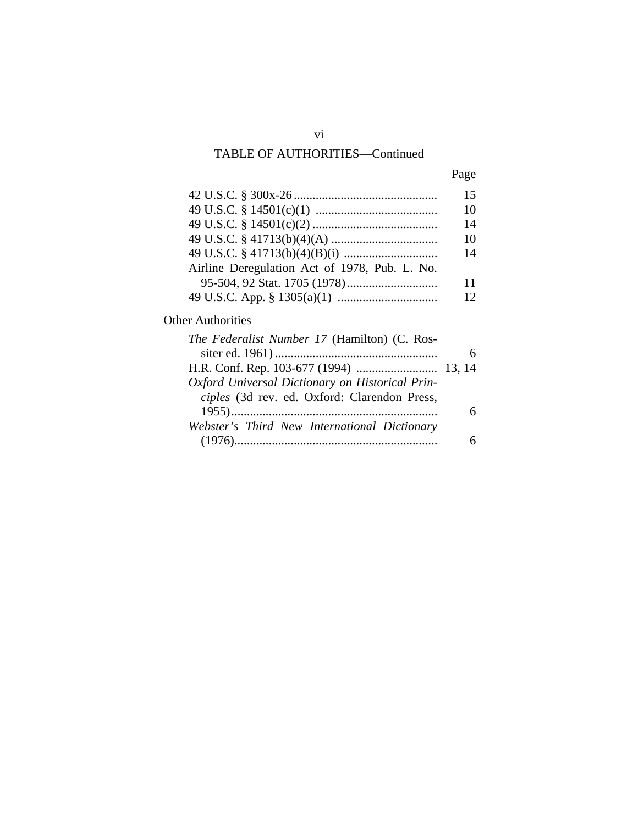## TABLE OF AUTHORITIES—Continued

| Page |
|------|
|      |

|                                               | 15 |
|-----------------------------------------------|----|
|                                               | 10 |
|                                               | 14 |
|                                               | 10 |
|                                               | 14 |
| Airline Deregulation Act of 1978, Pub. L. No. |    |
|                                               | 11 |
|                                               | 12 |

## Other Authorities

| The Federalist Number 17 (Hamilton) (C. Ros-    |  |
|-------------------------------------------------|--|
|                                                 |  |
|                                                 |  |
| Oxford Universal Dictionary on Historical Prin- |  |
| ciples (3d rev. ed. Oxford: Clarendon Press,    |  |
|                                                 |  |
| Webster's Third New International Dictionary    |  |
|                                                 |  |
|                                                 |  |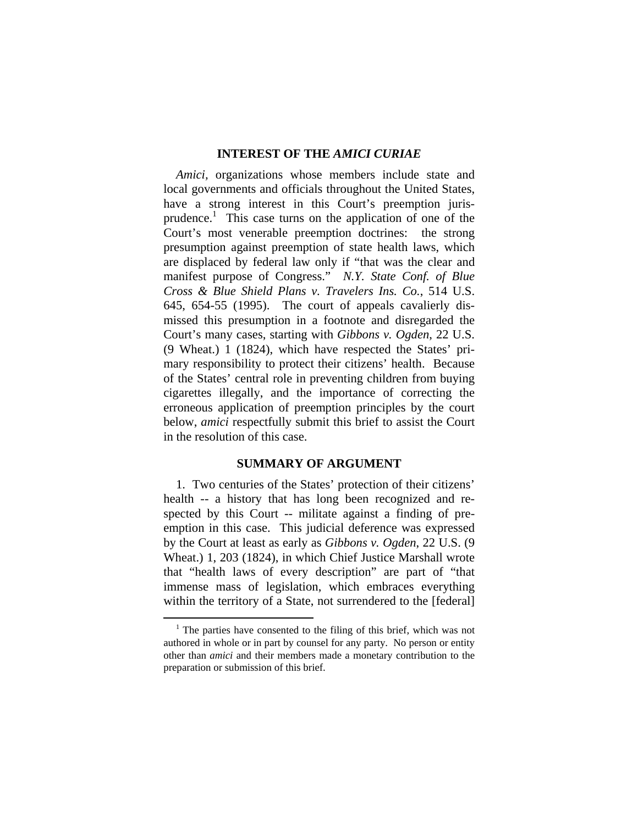#### **INTEREST OF THE** *AMICI CURIAE*

*Amici,* organizations whose members include state and local governments and officials throughout the United States, have a strong interest in this Court's preemption jurisprudence.<sup>1</sup> This case turns on the application of one of the Court's most venerable preemption doctrines: the strong presumption against preemption of state health laws, which are displaced by federal law only if "that was the clear and manifest purpose of Congress." *N.Y. State Conf. of Blue Cross & Blue Shield Plans v. Travelers Ins. Co.*, 514 U.S. 645, 654-55 (1995). The court of appeals cavalierly dismissed this presumption in a footnote and disregarded the Court's many cases, starting with *Gibbons v. Ogden*, 22 U.S. (9 Wheat.) 1 (1824), which have respected the States' primary responsibility to protect their citizens' health. Because of the States' central role in preventing children from buying cigarettes illegally, and the importance of correcting the erroneous application of preemption principles by the court below, *amici* respectfully submit this brief to assist the Court in the resolution of this case.

#### **SUMMARY OF ARGUMENT**

1. Two centuries of the States' protection of their citizens' health -- a history that has long been recognized and respected by this Court -- militate against a finding of preemption in this case. This judicial deference was expressed by the Court at least as early as *Gibbons v. Ogden*, 22 U.S. (9 Wheat.) 1, 203 (1824), in which Chief Justice Marshall wrote that "health laws of every description" are part of "that immense mass of legislation, which embraces everything within the territory of a State, not surrendered to the [federal]

 $\frac{1}{1}$  $1$  The parties have consented to the filing of this brief, which was not authored in whole or in part by counsel for any party. No person or entity other than *amici* and their members made a monetary contribution to the preparation or submission of this brief.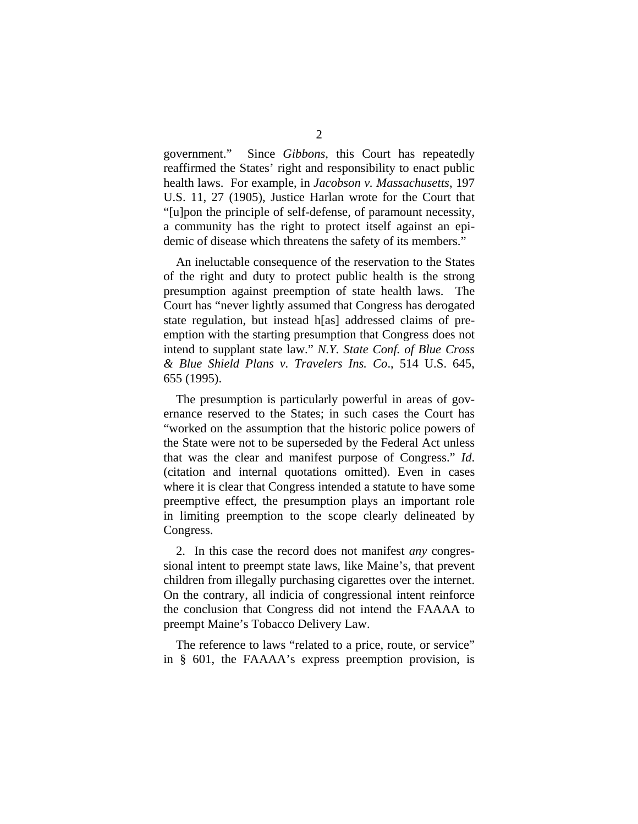government." Since *Gibbons*, this Court has repeatedly reaffirmed the States' right and responsibility to enact public health laws. For example, in *Jacobson v. Massachusetts*, 197 U.S. 11, 27 (1905), Justice Harlan wrote for the Court that "[u]pon the principle of self-defense, of paramount necessity, a community has the right to protect itself against an epidemic of disease which threatens the safety of its members."

An ineluctable consequence of the reservation to the States of the right and duty to protect public health is the strong presumption against preemption of state health laws. The Court has "never lightly assumed that Congress has derogated state regulation, but instead h[as] addressed claims of preemption with the starting presumption that Congress does not intend to supplant state law." *N.Y. State Conf. of Blue Cross & Blue Shield Plans v. Travelers Ins. Co*., 514 U.S. 645, 655 (1995).

The presumption is particularly powerful in areas of governance reserved to the States; in such cases the Court has "worked on the assumption that the historic police powers of the State were not to be superseded by the Federal Act unless that was the clear and manifest purpose of Congress." *Id*. (citation and internal quotations omitted). Even in cases where it is clear that Congress intended a statute to have some preemptive effect, the presumption plays an important role in limiting preemption to the scope clearly delineated by Congress.

2. In this case the record does not manifest *any* congressional intent to preempt state laws, like Maine's, that prevent children from illegally purchasing cigarettes over the internet. On the contrary, all indicia of congressional intent reinforce the conclusion that Congress did not intend the FAAAA to preempt Maine's Tobacco Delivery Law.

The reference to laws "related to a price, route, or service" in § 601, the FAAAA's express preemption provision, is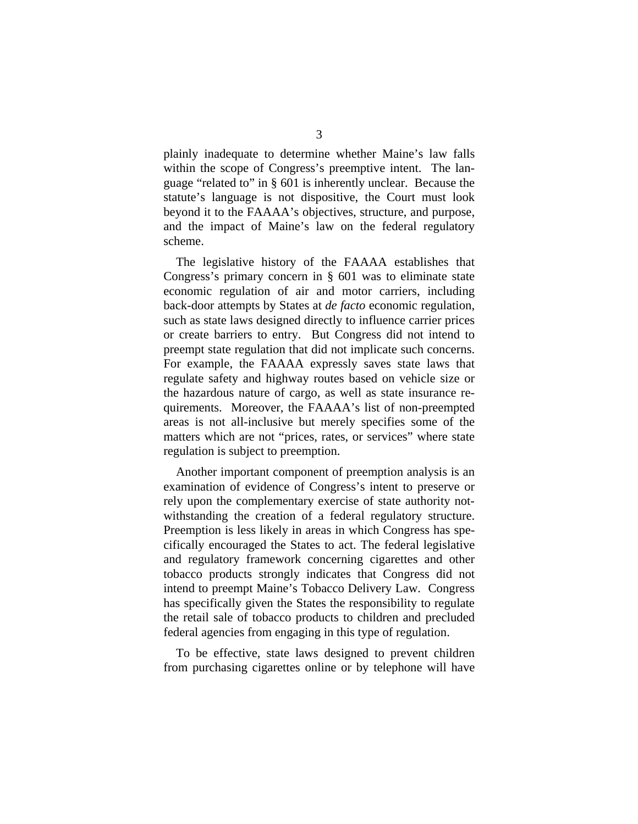plainly inadequate to determine whether Maine's law falls within the scope of Congress's preemptive intent. The language "related to" in § 601 is inherently unclear. Because the statute's language is not dispositive, the Court must look beyond it to the FAAAA's objectives, structure, and purpose, and the impact of Maine's law on the federal regulatory scheme.

The legislative history of the FAAAA establishes that Congress's primary concern in § 601 was to eliminate state economic regulation of air and motor carriers, including back-door attempts by States at *de facto* economic regulation, such as state laws designed directly to influence carrier prices or create barriers to entry. But Congress did not intend to preempt state regulation that did not implicate such concerns. For example, the FAAAA expressly saves state laws that regulate safety and highway routes based on vehicle size or the hazardous nature of cargo, as well as state insurance requirements. Moreover, the FAAAA's list of non-preempted areas is not all-inclusive but merely specifies some of the matters which are not "prices, rates, or services" where state regulation is subject to preemption.

Another important component of preemption analysis is an examination of evidence of Congress's intent to preserve or rely upon the complementary exercise of state authority notwithstanding the creation of a federal regulatory structure. Preemption is less likely in areas in which Congress has specifically encouraged the States to act. The federal legislative and regulatory framework concerning cigarettes and other tobacco products strongly indicates that Congress did not intend to preempt Maine's Tobacco Delivery Law. Congress has specifically given the States the responsibility to regulate the retail sale of tobacco products to children and precluded federal agencies from engaging in this type of regulation.

To be effective, state laws designed to prevent children from purchasing cigarettes online or by telephone will have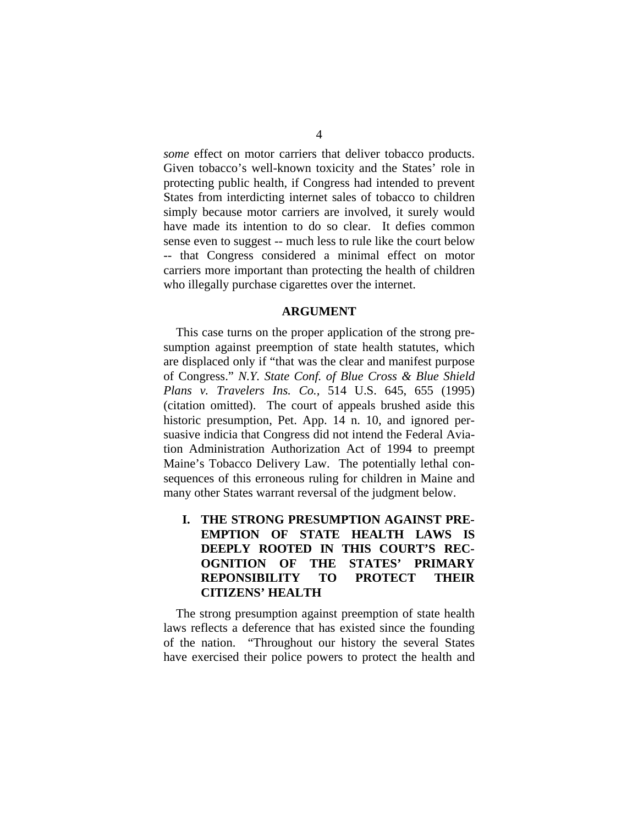*some* effect on motor carriers that deliver tobacco products. Given tobacco's well-known toxicity and the States' role in protecting public health, if Congress had intended to prevent States from interdicting internet sales of tobacco to children simply because motor carriers are involved, it surely would have made its intention to do so clear. It defies common sense even to suggest -- much less to rule like the court below -- that Congress considered a minimal effect on motor carriers more important than protecting the health of children who illegally purchase cigarettes over the internet.

#### **ARGUMENT**

This case turns on the proper application of the strong presumption against preemption of state health statutes, which are displaced only if "that was the clear and manifest purpose of Congress." *N.Y. State Conf. of Blue Cross & Blue Shield Plans v. Travelers Ins. Co.,* 514 U.S. 645, 655 (1995) (citation omitted). The court of appeals brushed aside this historic presumption, Pet. App. 14 n. 10, and ignored persuasive indicia that Congress did not intend the Federal Aviation Administration Authorization Act of 1994 to preempt Maine's Tobacco Delivery Law. The potentially lethal consequences of this erroneous ruling for children in Maine and many other States warrant reversal of the judgment below.

 **I. THE STRONG PRESUMPTION AGAINST PRE-EMPTION OF STATE HEALTH LAWS IS DEEPLY ROOTED IN THIS COURT'S REC-OGNITION OF THE STATES' PRIMARY REPONSIBILITY TO PROTECT THEIR CITIZENS' HEALTH** 

The strong presumption against preemption of state health laws reflects a deference that has existed since the founding of the nation. "Throughout our history the several States have exercised their police powers to protect the health and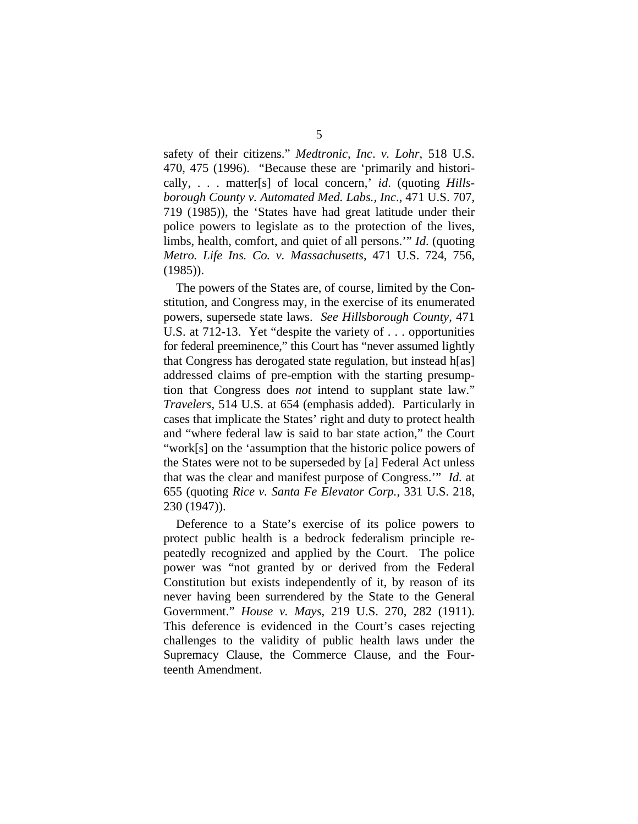safety of their citizens." *Medtronic, Inc*. *v. Lohr*, 518 U.S. 470, 475 (1996). "Because these are 'primarily and historically, . . . matter[s] of local concern,' *id*. (quoting *Hillsborough County v. Automated Med. Labs., Inc*., 471 U.S. 707, 719 (1985)), the 'States have had great latitude under their police powers to legislate as to the protection of the lives, limbs, health, comfort, and quiet of all persons.'" *Id*. (quoting *Metro. Life Ins. Co. v. Massachusetts*, 471 U.S. 724, 756, (1985)).

The powers of the States are, of course, limited by the Constitution, and Congress may, in the exercise of its enumerated powers, supersede state laws. *See Hillsborough County*, 471 U.S. at 712-13. Yet "despite the variety of . . . opportunities for federal preeminence," this Court has "never assumed lightly that Congress has derogated state regulation, but instead h[as] addressed claims of pre-emption with the starting presumption that Congress does *not* intend to supplant state law." *Travelers,* 514 U.S. at 654 (emphasis added). Particularly in cases that implicate the States' right and duty to protect health and "where federal law is said to bar state action," the Court "work[s] on the 'assumption that the historic police powers of the States were not to be superseded by [a] Federal Act unless that was the clear and manifest purpose of Congress.'" *Id.* at 655 (quoting *Rice v. Santa Fe Elevator Corp.*, 331 U.S. 218, 230 (1947)).

Deference to a State's exercise of its police powers to protect public health is a bedrock federalism principle repeatedly recognized and applied by the Court. The police power was "not granted by or derived from the Federal Constitution but exists independently of it, by reason of its never having been surrendered by the State to the General Government." *House v. Mays*, 219 U.S. 270, 282 (1911). This deference is evidenced in the Court's cases rejecting challenges to the validity of public health laws under the Supremacy Clause, the Commerce Clause, and the Fourteenth Amendment.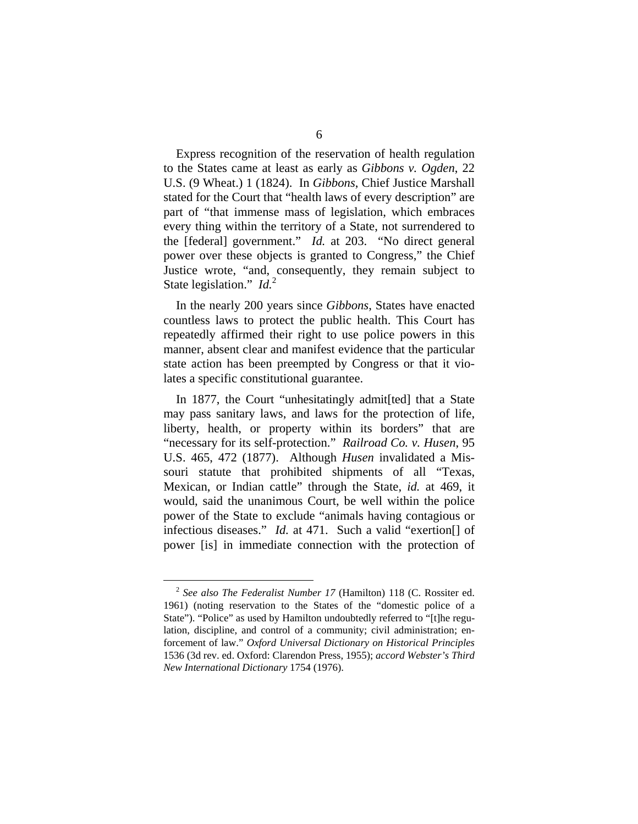Express recognition of the reservation of health regulation to the States came at least as early as *Gibbons v. Ogden*, 22 U.S. (9 Wheat.) 1 (1824). In *Gibbons*, Chief Justice Marshall stated for the Court that "health laws of every description" are part of "that immense mass of legislation, which embraces every thing within the territory of a State, not surrendered to the [federal] government." *Id.* at 203. "No direct general power over these objects is granted to Congress," the Chief Justice wrote, "and, consequently, they remain subject to State legislation." *Id.*<sup>2</sup>

In the nearly 200 years since *Gibbons*, States have enacted countless laws to protect the public health. This Court has repeatedly affirmed their right to use police powers in this manner, absent clear and manifest evidence that the particular state action has been preempted by Congress or that it violates a specific constitutional guarantee.

In 1877, the Court "unhesitatingly admit[ted] that a State may pass sanitary laws, and laws for the protection of life, liberty, health, or property within its borders" that are "necessary for its self-protection." *Railroad Co. v. Husen*, 95 U.S. 465, 472 (1877). Although *Husen* invalidated a Missouri statute that prohibited shipments of all "Texas, Mexican, or Indian cattle" through the State, *id.* at 469, it would, said the unanimous Court, be well within the police power of the State to exclude "animals having contagious or infectious diseases." *Id.* at 471. Such a valid "exertion[] of power [is] in immediate connection with the protection of

 <sup>2</sup> *See also The Federalist Number 17* (Hamilton) 118 (C. Rossiter ed. 1961) (noting reservation to the States of the "domestic police of a State"). "Police" as used by Hamilton undoubtedly referred to "[t]he regulation, discipline, and control of a community; civil administration; enforcement of law." *Oxford Universal Dictionary on Historical Principles*  1536 (3d rev. ed. Oxford: Clarendon Press, 1955); *accord Webster's Third New International Dictionary* 1754 (1976).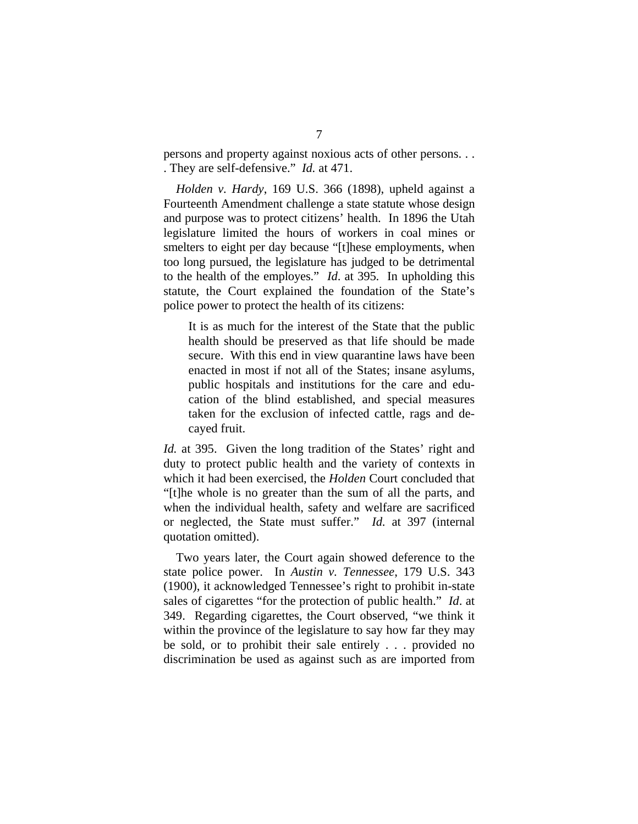persons and property against noxious acts of other persons. . . . They are self-defensive." *Id.* at 471.

*Holden v. Hardy*, 169 U.S. 366 (1898), upheld against a Fourteenth Amendment challenge a state statute whose design and purpose was to protect citizens' health. In 1896 the Utah legislature limited the hours of workers in coal mines or smelters to eight per day because "[t]hese employments, when too long pursued, the legislature has judged to be detrimental to the health of the employes." *Id*. at 395. In upholding this statute, the Court explained the foundation of the State's police power to protect the health of its citizens:

It is as much for the interest of the State that the public health should be preserved as that life should be made secure. With this end in view quarantine laws have been enacted in most if not all of the States; insane asylums, public hospitals and institutions for the care and education of the blind established, and special measures taken for the exclusion of infected cattle, rags and decayed fruit.

*Id.* at 395. Given the long tradition of the States' right and duty to protect public health and the variety of contexts in which it had been exercised, the *Holden* Court concluded that "[t]he whole is no greater than the sum of all the parts, and when the individual health, safety and welfare are sacrificed or neglected, the State must suffer." *Id.* at 397 (internal quotation omitted).

Two years later, the Court again showed deference to the state police power. In *Austin v. Tennessee*, 179 U.S. 343 (1900), it acknowledged Tennessee's right to prohibit in-state sales of cigarettes "for the protection of public health." *Id*. at 349. Regarding cigarettes, the Court observed, "we think it within the province of the legislature to say how far they may be sold, or to prohibit their sale entirely . . . provided no discrimination be used as against such as are imported from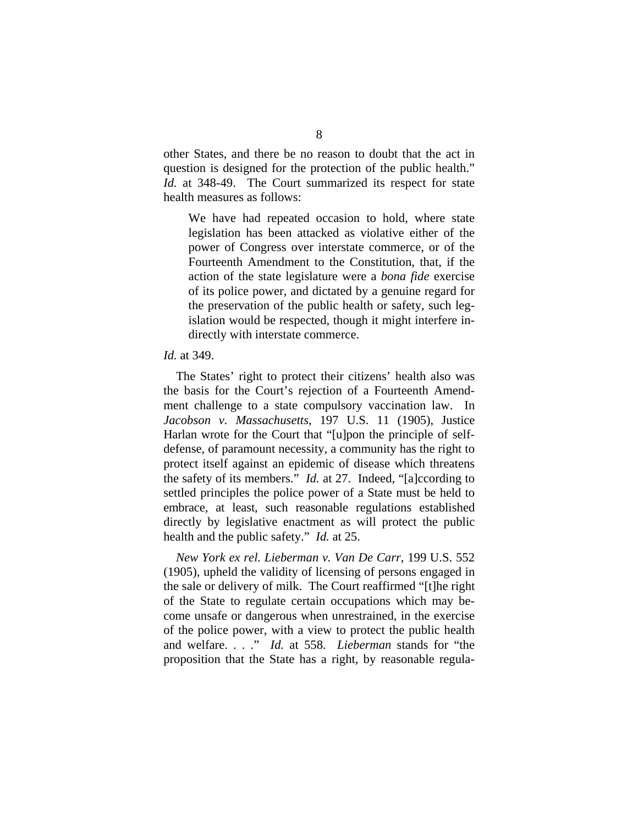other States, and there be no reason to doubt that the act in question is designed for the protection of the public health." *Id.* at 348-49. The Court summarized its respect for state health measures as follows:

We have had repeated occasion to hold, where state legislation has been attacked as violative either of the power of Congress over interstate commerce, or of the Fourteenth Amendment to the Constitution, that, if the action of the state legislature were a *bona fide* exercise of its police power, and dictated by a genuine regard for the preservation of the public health or safety, such legislation would be respected, though it might interfere indirectly with interstate commerce.

#### *Id.* at 349.

The States' right to protect their citizens' health also was the basis for the Court's rejection of a Fourteenth Amendment challenge to a state compulsory vaccination law. In *Jacobson v. Massachusetts*, 197 U.S. 11 (1905), Justice Harlan wrote for the Court that "[u]pon the principle of selfdefense, of paramount necessity, a community has the right to protect itself against an epidemic of disease which threatens the safety of its members." *Id.* at 27. Indeed, "[a]ccording to settled principles the police power of a State must be held to embrace, at least, such reasonable regulations established directly by legislative enactment as will protect the public health and the public safety." *Id.* at 25.

*New York ex rel. Lieberman v. Van De Carr*, 199 U.S. 552 (1905), upheld the validity of licensing of persons engaged in the sale or delivery of milk. The Court reaffirmed "[t]he right of the State to regulate certain occupations which may become unsafe or dangerous when unrestrained, in the exercise of the police power, with a view to protect the public health and welfare. . . ." *Id.* at 558. *Lieberman* stands for "the proposition that the State has a right, by reasonable regula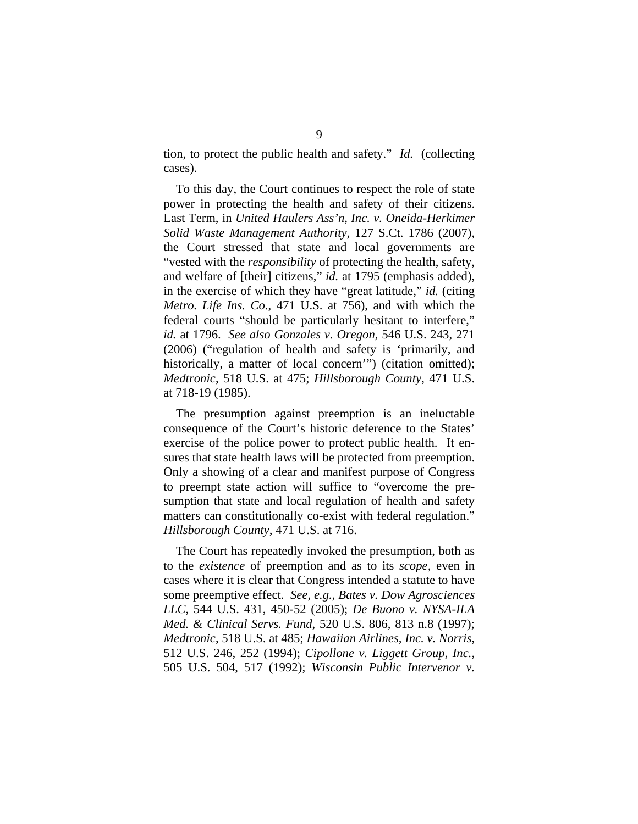tion, to protect the public health and safety." *Id.* (collecting cases).

To this day, the Court continues to respect the role of state power in protecting the health and safety of their citizens. Last Term, in *United Haulers Ass'n, Inc. v. Oneida-Herkimer Solid Waste Management Authority,* 127 S.Ct. 1786 (2007), the Court stressed that state and local governments are "vested with the *responsibility* of protecting the health, safety, and welfare of [their] citizens," *id.* at 1795 (emphasis added), in the exercise of which they have "great latitude," *id.* (citing *Metro. Life Ins. Co.*, 471 U.S. at 756), and with which the federal courts "should be particularly hesitant to interfere," *id.* at 1796. *See also Gonzales v. Oregon*, 546 U.S. 243, 271 (2006) ("regulation of health and safety is 'primarily, and historically, a matter of local concern'") (citation omitted); *Medtronic*, 518 U.S. at 475; *Hillsborough County*, 471 U.S. at 718-19 (1985).

The presumption against preemption is an ineluctable consequence of the Court's historic deference to the States' exercise of the police power to protect public health. It ensures that state health laws will be protected from preemption. Only a showing of a clear and manifest purpose of Congress to preempt state action will suffice to "overcome the presumption that state and local regulation of health and safety matters can constitutionally co-exist with federal regulation." *Hillsborough County*, 471 U.S. at 716.

The Court has repeatedly invoked the presumption, both as to the *existence* of preemption and as to its *scope,* even in cases where it is clear that Congress intended a statute to have some preemptive effect. *See, e.g., Bates v. Dow Agrosciences LLC*, 544 U.S. 431, 450-52 (2005); *De Buono v. NYSA-ILA Med. & Clinical Servs. Fund*, 520 U.S. 806, 813 n.8 (1997); *Medtronic*, 518 U.S. at 485; *Hawaiian Airlines, Inc. v. Norris*, 512 U.S. 246, 252 (1994); *Cipollone v. Liggett Group, Inc.*, 505 U.S. 504, 517 (1992); *Wisconsin Public Intervenor v.*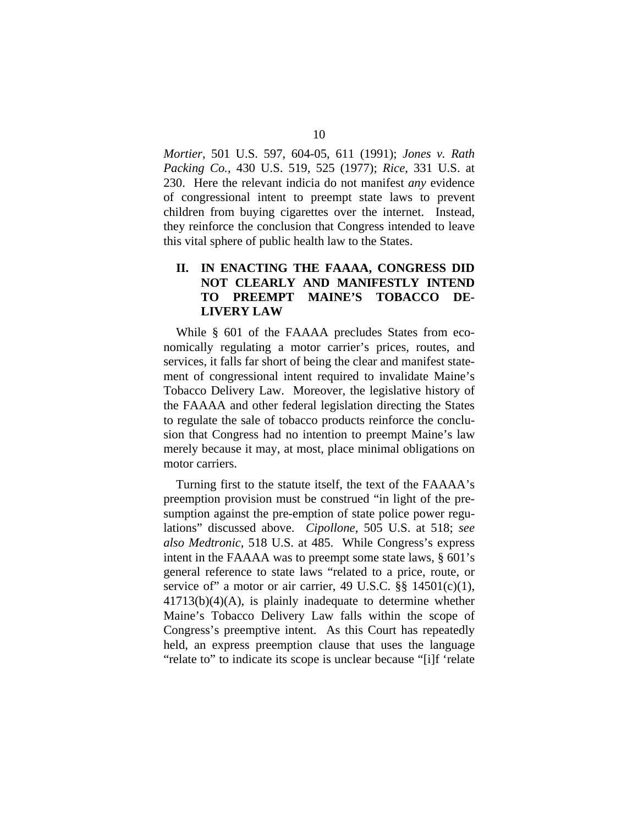*Mortier*, 501 U.S. 597, 604-05, 611 (1991); *Jones v. Rath Packing Co.*, 430 U.S. 519, 525 (1977); *Rice*, 331 U.S. at 230. Here the relevant indicia do not manifest *any* evidence of congressional intent to preempt state laws to prevent children from buying cigarettes over the internet. Instead, they reinforce the conclusion that Congress intended to leave this vital sphere of public health law to the States.

## **II. IN ENACTING THE FAAAA, CONGRESS DID NOT CLEARLY AND MANIFESTLY INTEND TO PREEMPT MAINE'S TOBACCO DE-LIVERY LAW**

While § 601 of the FAAAA precludes States from economically regulating a motor carrier's prices, routes, and services, it falls far short of being the clear and manifest statement of congressional intent required to invalidate Maine's Tobacco Delivery Law. Moreover, the legislative history of the FAAAA and other federal legislation directing the States to regulate the sale of tobacco products reinforce the conclusion that Congress had no intention to preempt Maine's law merely because it may, at most, place minimal obligations on motor carriers.

Turning first to the statute itself, the text of the FAAAA's preemption provision must be construed "in light of the presumption against the pre-emption of state police power regulations" discussed above. *Cipollone*, 505 U.S. at 518; *see also Medtronic*, 518 U.S. at 485. While Congress's express intent in the FAAAA was to preempt some state laws, § 601's general reference to state laws "related to a price, route, or service of" a motor or air carrier, 49 U.S.C.  $\S$ § 14501(c)(1), 41713(b)(4)(A), is plainly inadequate to determine whether Maine's Tobacco Delivery Law falls within the scope of Congress's preemptive intent. As this Court has repeatedly held, an express preemption clause that uses the language "relate to" to indicate its scope is unclear because "[i]f 'relate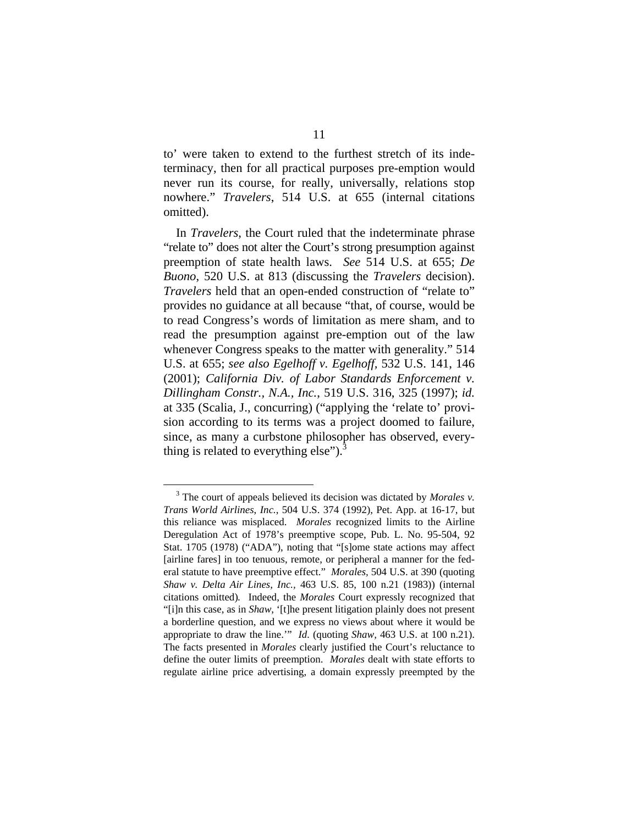to' were taken to extend to the furthest stretch of its indeterminacy, then for all practical purposes pre-emption would never run its course, for really, universally, relations stop nowhere." *Travelers*, 514 U.S. at 655 (internal citations omitted).

In *Travelers*, the Court ruled that the indeterminate phrase "relate to" does not alter the Court's strong presumption against preemption of state health laws. *See* 514 U.S. at 655; *De Buono*, 520 U.S. at 813 (discussing the *Travelers* decision). *Travelers* held that an open-ended construction of "relate to" provides no guidance at all because "that, of course, would be to read Congress's words of limitation as mere sham, and to read the presumption against pre-emption out of the law whenever Congress speaks to the matter with generality." 514 U.S. at 655; *see also Egelhoff v. Egelhoff,* 532 U.S. 141, 146 (2001); *California Div. of Labor Standards Enforcement v. Dillingham Constr., N.A., Inc.*, 519 U.S. 316, 325 (1997); *id.*  at 335 (Scalia, J., concurring) ("applying the 'relate to' provision according to its terms was a project doomed to failure, since, as many a curbstone philosopher has observed, everything is related to everything else"). $3$ 

<sup>&</sup>lt;sup>3</sup> The court of appeals believed its decision was dictated by *Morales v*. *Trans World Airlines*, *Inc.*, 504 U.S. 374 (1992), Pet. App. at 16-17, but this reliance was misplaced. *Morales* recognized limits to the Airline Deregulation Act of 1978's preemptive scope, Pub. L. No. 95-504, 92 Stat. 1705 (1978) ("ADA"), noting that "[s]ome state actions may affect [airline fares] in too tenuous, remote, or peripheral a manner for the federal statute to have preemptive effect." *Morales,* 504 U.S. at 390 (quoting *Shaw v. Delta Air Lines, Inc.,* 463 U.S. 85, 100 n.21 (1983)) (internal citations omitted)*.* Indeed, the *Morales* Court expressly recognized that "[i]n this case, as in *Shaw*, '[t]he present litigation plainly does not present a borderline question, and we express no views about where it would be appropriate to draw the line.'" *Id.* (quoting *Shaw,* 463 U.S. at 100 n.21). The facts presented in *Morales* clearly justified the Court's reluctance to define the outer limits of preemption. *Morales* dealt with state efforts to regulate airline price advertising, a domain expressly preempted by the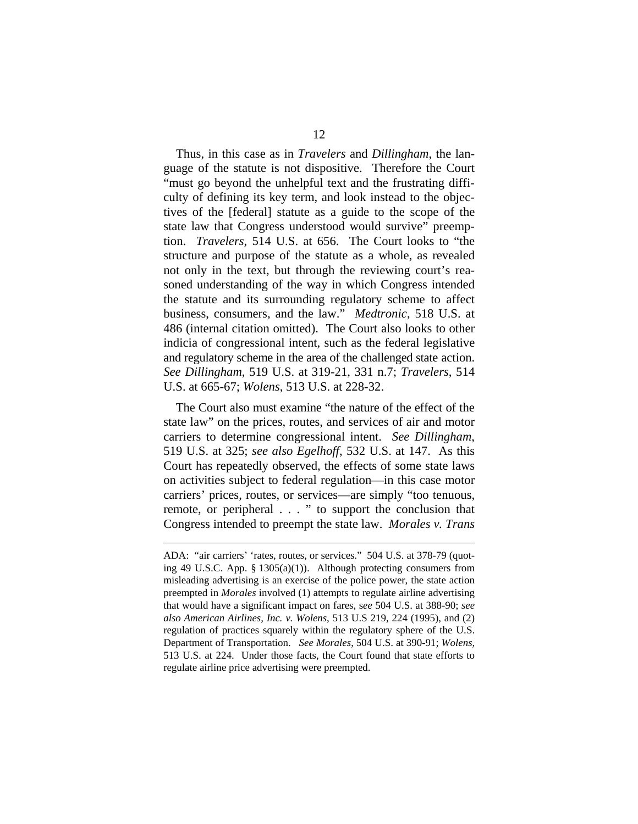Thus, in this case as in *Travelers* and *Dillingham*, the language of the statute is not dispositive. Therefore the Court "must go beyond the unhelpful text and the frustrating difficulty of defining its key term, and look instead to the objectives of the [federal] statute as a guide to the scope of the state law that Congress understood would survive" preemption. *Travelers*, 514 U.S. at 656. The Court looks to "the structure and purpose of the statute as a whole, as revealed not only in the text, but through the reviewing court's reasoned understanding of the way in which Congress intended the statute and its surrounding regulatory scheme to affect business, consumers, and the law." *Medtronic*, 518 U.S. at 486 (internal citation omitted). The Court also looks to other indicia of congressional intent, such as the federal legislative and regulatory scheme in the area of the challenged state action. *See Dillingham*, 519 U.S. at 319-21, 331 n.7; *Travelers*, 514 U.S. at 665-67; *Wolens*, 513 U.S. at 228-32.

The Court also must examine "the nature of the effect of the state law" on the prices, routes, and services of air and motor carriers to determine congressional intent. *See Dillingham*, 519 U.S. at 325; *see also Egelhoff*, 532 U.S. at 147. As this Court has repeatedly observed, the effects of some state laws on activities subject to federal regulation—in this case motor carriers' prices, routes, or services—are simply "too tenuous, remote, or peripheral . . . " to support the conclusion that Congress intended to preempt the state law. *Morales v. Trans* 

 $\overline{a}$ 

ADA: "air carriers' 'rates, routes, or services." 504 U.S. at 378-79 (quoting 49 U.S.C. App. § 1305(a)(1)). Although protecting consumers from misleading advertising is an exercise of the police power, the state action preempted in *Morales* involved (1) attempts to regulate airline advertising that would have a significant impact on fares, s*ee* 504 U.S. at 388-90; *see also American Airlines, Inc. v. Wolens*, 513 U.S 219, 224 (1995), and (2) regulation of practices squarely within the regulatory sphere of the U.S. Department of Transportation. *See Morales*, 504 U.S. at 390-91; *Wolens*, 513 U.S. at 224. Under those facts, the Court found that state efforts to regulate airline price advertising were preempted.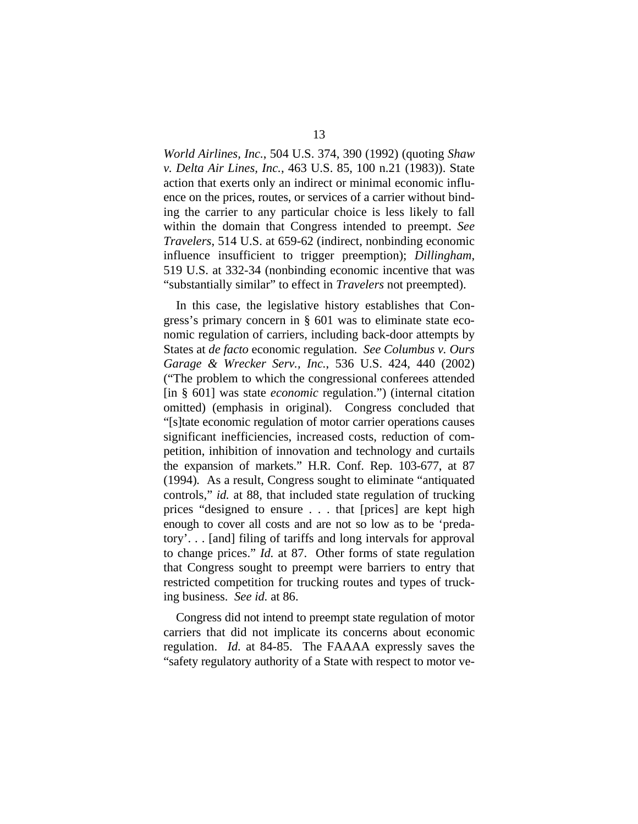*World Airlines, Inc.*, 504 U.S. 374, 390 (1992) (quoting *Shaw v. Delta Air Lines, Inc.*, 463 U.S. 85, 100 n.21 (1983)). State action that exerts only an indirect or minimal economic influence on the prices, routes, or services of a carrier without binding the carrier to any particular choice is less likely to fall within the domain that Congress intended to preempt. *See Travelers*, 514 U.S. at 659-62 (indirect, nonbinding economic influence insufficient to trigger preemption); *Dillingham*, 519 U.S. at 332-34 (nonbinding economic incentive that was "substantially similar" to effect in *Travelers* not preempted).

In this case, the legislative history establishes that Congress's primary concern in § 601 was to eliminate state economic regulation of carriers, including back-door attempts by States at *de facto* economic regulation. *See Columbus v. Ours Garage & Wrecker Serv., Inc.*, 536 U.S. 424, 440 (2002) ("The problem to which the congressional conferees attended [in § 601] was state *economic* regulation.") (internal citation omitted) (emphasis in original). Congress concluded that "[s]tate economic regulation of motor carrier operations causes significant inefficiencies, increased costs, reduction of competition, inhibition of innovation and technology and curtails the expansion of markets." H.R. Conf. Rep. 103-677, at 87 (1994)*.* As a result, Congress sought to eliminate "antiquated controls," *id.* at 88, that included state regulation of trucking prices "designed to ensure . . . that [prices] are kept high enough to cover all costs and are not so low as to be 'predatory'. . . [and] filing of tariffs and long intervals for approval to change prices." *Id.* at 87. Other forms of state regulation that Congress sought to preempt were barriers to entry that restricted competition for trucking routes and types of trucking business. *See id.* at 86.

Congress did not intend to preempt state regulation of motor carriers that did not implicate its concerns about economic regulation. *Id.* at 84-85. The FAAAA expressly saves the "safety regulatory authority of a State with respect to motor ve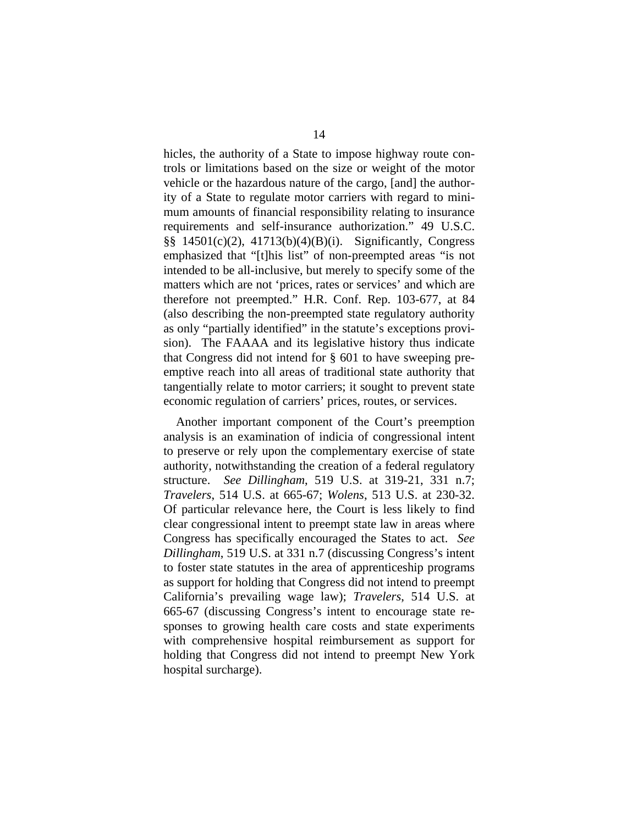hicles, the authority of a State to impose highway route controls or limitations based on the size or weight of the motor vehicle or the hazardous nature of the cargo, [and] the authority of a State to regulate motor carriers with regard to minimum amounts of financial responsibility relating to insurance requirements and self-insurance authorization." 49 U.S.C. §§ 14501(c)(2), 41713(b)(4)(B)(i). Significantly, Congress emphasized that "[t]his list" of non-preempted areas "is not intended to be all-inclusive, but merely to specify some of the matters which are not 'prices, rates or services' and which are therefore not preempted." H.R. Conf. Rep. 103-677, at 84 (also describing the non-preempted state regulatory authority as only "partially identified" in the statute's exceptions provision). The FAAAA and its legislative history thus indicate that Congress did not intend for § 601 to have sweeping preemptive reach into all areas of traditional state authority that tangentially relate to motor carriers; it sought to prevent state economic regulation of carriers' prices, routes, or services.

Another important component of the Court's preemption analysis is an examination of indicia of congressional intent to preserve or rely upon the complementary exercise of state authority, notwithstanding the creation of a federal regulatory structure. *See Dillingham*, 519 U.S. at 319-21, 331 n.7; *Travelers*, 514 U.S. at 665-67; *Wolens*, 513 U.S. at 230-32. Of particular relevance here, the Court is less likely to find clear congressional intent to preempt state law in areas where Congress has specifically encouraged the States to act. *See Dillingham*, 519 U.S. at 331 n.7 (discussing Congress's intent to foster state statutes in the area of apprenticeship programs as support for holding that Congress did not intend to preempt California's prevailing wage law); *Travelers*, 514 U.S. at 665-67 (discussing Congress's intent to encourage state responses to growing health care costs and state experiments with comprehensive hospital reimbursement as support for holding that Congress did not intend to preempt New York hospital surcharge).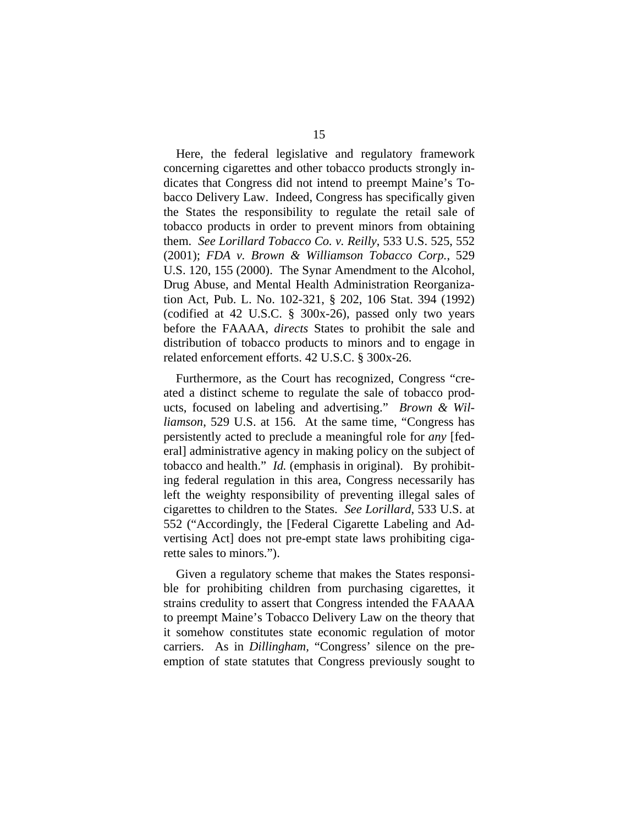Here, the federal legislative and regulatory framework concerning cigarettes and other tobacco products strongly indicates that Congress did not intend to preempt Maine's Tobacco Delivery Law. Indeed, Congress has specifically given the States the responsibility to regulate the retail sale of tobacco products in order to prevent minors from obtaining them. *See Lorillard Tobacco Co. v. Reilly*, 533 U.S. 525, 552 (2001); *FDA v. Brown & Williamson Tobacco Corp.*, 529 U.S. 120, 155 (2000). The Synar Amendment to the Alcohol, Drug Abuse, and Mental Health Administration Reorganization Act, Pub. L. No. 102-321, § 202, 106 Stat. 394 (1992) (codified at 42 U.S.C. § 300x-26), passed only two years before the FAAAA, *directs* States to prohibit the sale and distribution of tobacco products to minors and to engage in related enforcement efforts. 42 U.S.C. § 300x-26.

Furthermore, as the Court has recognized, Congress "created a distinct scheme to regulate the sale of tobacco products, focused on labeling and advertising." *Brown & Williamson*, 529 U.S. at 156. At the same time, "Congress has persistently acted to preclude a meaningful role for *any* [federal] administrative agency in making policy on the subject of tobacco and health." *Id.* (emphasis in original). By prohibiting federal regulation in this area, Congress necessarily has left the weighty responsibility of preventing illegal sales of cigarettes to children to the States. *See Lorillard*, 533 U.S. at 552 ("Accordingly, the [Federal Cigarette Labeling and Advertising Act] does not pre-empt state laws prohibiting cigarette sales to minors.").

Given a regulatory scheme that makes the States responsible for prohibiting children from purchasing cigarettes, it strains credulity to assert that Congress intended the FAAAA to preempt Maine's Tobacco Delivery Law on the theory that it somehow constitutes state economic regulation of motor carriers. As in *Dillingham,* "Congress' silence on the preemption of state statutes that Congress previously sought to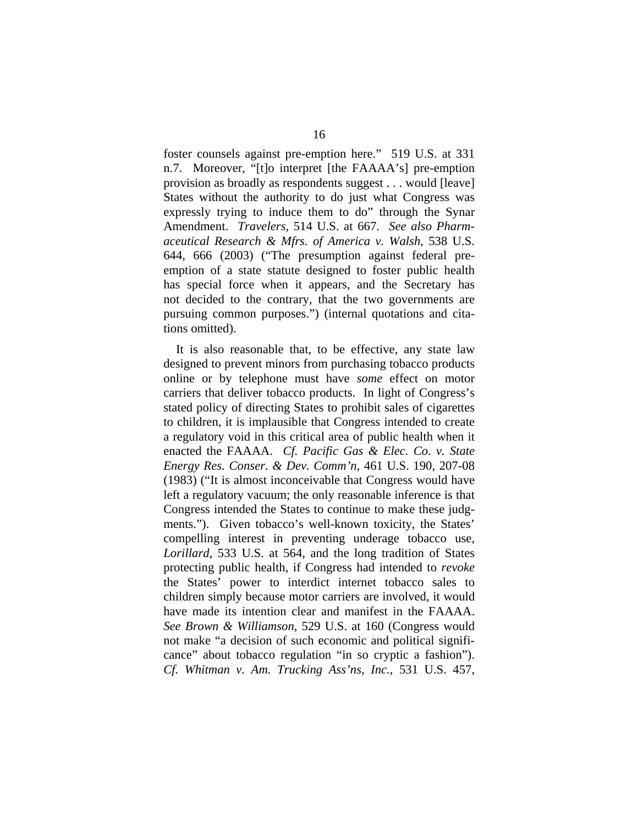foster counsels against pre-emption here." 519 U.S. at 331 n.7. Moreover, "[t]o interpret [the FAAAA's] pre-emption provision as broadly as respondents suggest . . . would [leave] States without the authority to do just what Congress was expressly trying to induce them to do" through the Synar Amendment. *Travelers*, 514 U.S. at 667. *See also Pharmaceutical Research & Mfrs. of America v. Walsh*, 538 U.S. 644, 666 (2003) ("The presumption against federal preemption of a state statute designed to foster public health has special force when it appears, and the Secretary has not decided to the contrary, that the two governments are pursuing common purposes.") (internal quotations and citations omitted).

It is also reasonable that, to be effective, any state law designed to prevent minors from purchasing tobacco products online or by telephone must have *some* effect on motor carriers that deliver tobacco products. In light of Congress's stated policy of directing States to prohibit sales of cigarettes to children, it is implausible that Congress intended to create a regulatory void in this critical area of public health when it enacted the FAAAA. *Cf. Pacific Gas & Elec. Co. v. State Energy Res. Conser. & Dev. Comm'n*, 461 U.S. 190, 207-08 (1983) ("It is almost inconceivable that Congress would have left a regulatory vacuum; the only reasonable inference is that Congress intended the States to continue to make these judgments."). Given tobacco's well-known toxicity, the States' compelling interest in preventing underage tobacco use, *Lorillard*, 533 U.S. at 564, and the long tradition of States protecting public health, if Congress had intended to *revoke* the States' power to interdict internet tobacco sales to children simply because motor carriers are involved, it would have made its intention clear and manifest in the FAAAA. *See Brown & Williamson*, 529 U.S. at 160 (Congress would not make "a decision of such economic and political significance" about tobacco regulation "in so cryptic a fashion"). *Cf. Whitman v. Am. Trucking Ass'ns, Inc.*, 531 U.S. 457,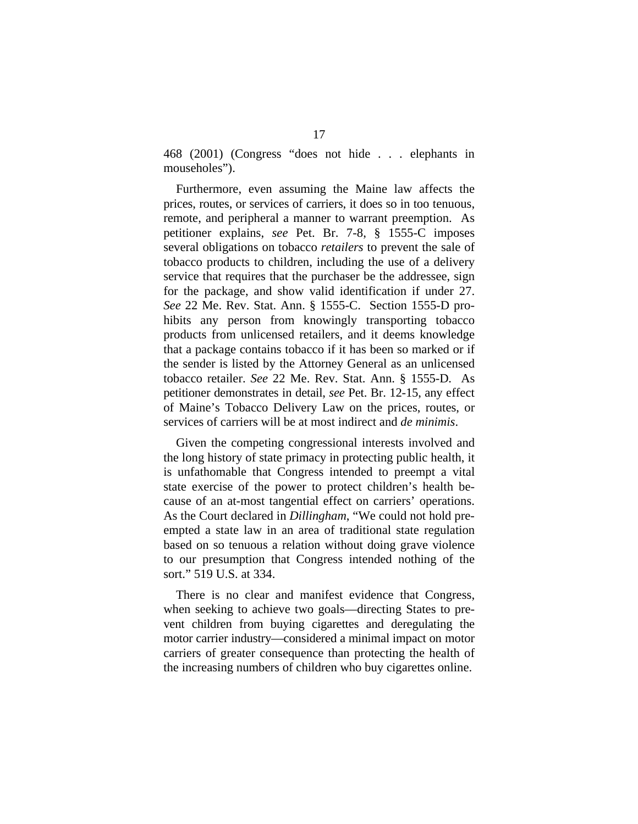468 (2001) (Congress "does not hide . . . elephants in mouseholes").

Furthermore, even assuming the Maine law affects the prices, routes, or services of carriers, it does so in too tenuous, remote, and peripheral a manner to warrant preemption. As petitioner explains, *see* Pet. Br. 7-8, § 1555-C imposes several obligations on tobacco *retailers* to prevent the sale of tobacco products to children, including the use of a delivery service that requires that the purchaser be the addressee, sign for the package, and show valid identification if under 27. *See* 22 Me. Rev. Stat. Ann. § 1555-C. Section 1555-D prohibits any person from knowingly transporting tobacco products from unlicensed retailers, and it deems knowledge that a package contains tobacco if it has been so marked or if the sender is listed by the Attorney General as an unlicensed tobacco retailer. *See* 22 Me. Rev. Stat. Ann. § 1555-D. As petitioner demonstrates in detail, *see* Pet. Br. 12-15, any effect of Maine's Tobacco Delivery Law on the prices, routes, or services of carriers will be at most indirect and *de minimis*.

Given the competing congressional interests involved and the long history of state primacy in protecting public health, it is unfathomable that Congress intended to preempt a vital state exercise of the power to protect children's health because of an at-most tangential effect on carriers' operations. As the Court declared in *Dillingham*, "We could not hold preempted a state law in an area of traditional state regulation based on so tenuous a relation without doing grave violence to our presumption that Congress intended nothing of the sort." 519 U.S. at 334.

There is no clear and manifest evidence that Congress, when seeking to achieve two goals—directing States to prevent children from buying cigarettes and deregulating the motor carrier industry—considered a minimal impact on motor carriers of greater consequence than protecting the health of the increasing numbers of children who buy cigarettes online.